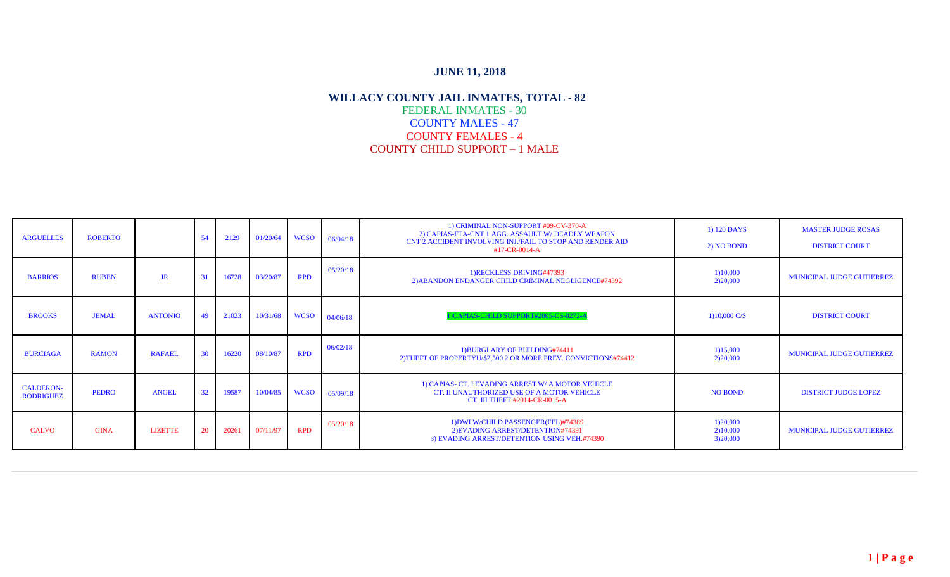| <b>ARGUELLES</b>                     | <b>ROBERTO</b> |                | 54              | 2129  | 01/20/64 | <b>WCSO</b> | 06/04/18 | 1) CRIMINAL NON-SUPPORT #09-CV-370-A<br>2) CAPIAS-FTA-CNT 1 AGG. ASSAULT W/ DEADLY WEAPON<br>CNT 2 ACCIDENT INVOLVING INJ./FAIL TO STOP AND RENDER AID<br>#17-CR-0014-A | 1) 120 DAYS<br>2) NO BOND        | <b>MASTER JUDGE ROSAS</b><br><b>DISTRICT COURT</b> |
|--------------------------------------|----------------|----------------|-----------------|-------|----------|-------------|----------|-------------------------------------------------------------------------------------------------------------------------------------------------------------------------|----------------------------------|----------------------------------------------------|
| <b>BARRIOS</b>                       | <b>RUBEN</b>   | <b>JR</b>      |                 | 16728 | 03/20/87 | <b>RPD</b>  | 05/20/18 | 1) RECKLESS DRIVING#47393<br>2) ABANDON ENDANGER CHILD CRIMINAL NEGLIGENCE#74392                                                                                        | 1)10,000<br>2)20,000             | MUNICIPAL JUDGE GUTIERREZ                          |
| <b>BROOKS</b>                        | <b>JEMAL</b>   | <b>ANTONIO</b> | 49              | 21023 | 10/31/68 | <b>WCSO</b> | 04/06/18 | )CAPIAS-CHILD SUPPORT#2005-CS-0272-A                                                                                                                                    | 1)10,000 C/S                     | <b>DISTRICT COURT</b>                              |
| <b>BURCIAGA</b>                      | <b>RAMON</b>   | <b>RAFAEL</b>  | 30              | 16220 | 08/10/87 | <b>RPD</b>  | 06/02/18 | 1) BURGLARY OF BUILDING#74411<br>2) THEFT OF PROPERTYU/\$2,500 2 OR MORE PREV. CONVICTIONS#74412                                                                        | 1)15,000<br>2)20,000             | MUNICIPAL JUDGE GUTIERREZ                          |
| <b>CALDERON-</b><br><b>RODRIGUEZ</b> | <b>PEDRO</b>   | <b>ANGEL</b>   | 32 <sup>2</sup> | 19587 | 10/04/85 | <b>WCSO</b> | 05/09/18 | 1) CAPIAS- CT. I EVADING ARREST W/ A MOTOR VEHICLE<br>CT. II UNAUTHORIZED USE OF A MOTOR VEHICLE<br>CT. III THEFT #2014-CR-0015-A                                       | <b>NO BOND</b>                   | <b>DISTRICT JUDGE LOPEZ</b>                        |
| <b>CALVO</b>                         | <b>GINA</b>    | <b>LIZETTE</b> | 20              | 20261 | 07/11/97 | <b>RPD</b>  | 05/20/18 | 1) DWI W/CHILD PASSENGER (FEL)#74389<br>2) EVADING ARREST/DETENTION#74391<br>3) EVADING ARREST/DETENTION USING VEH.#74390                                               | 1)20,000<br>2)10,000<br>3)20,000 | MUNICIPAL JUDGE GUTIERREZ                          |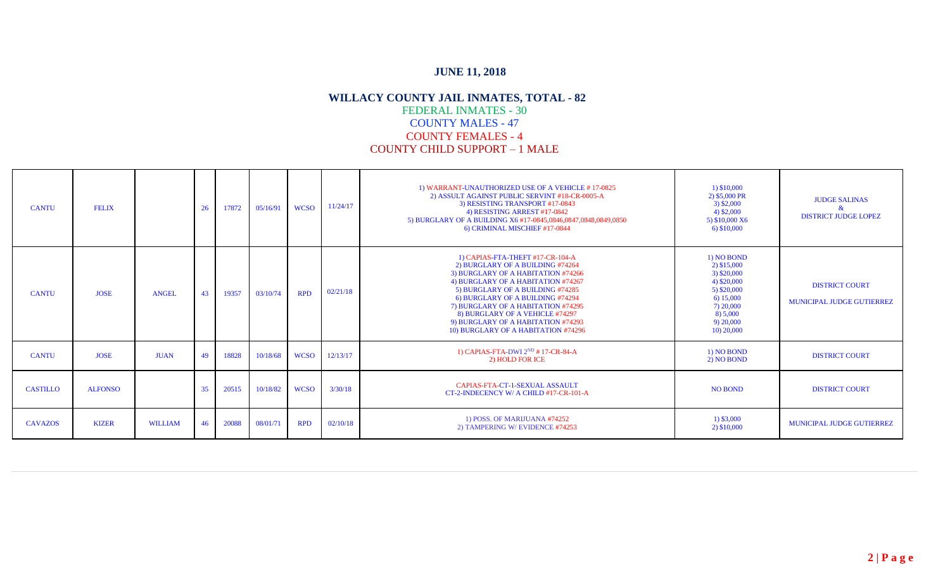| <b>CANTU</b>    | <b>FELIX</b>   |                | 26 | 17872 | 05/16/91 | <b>WCSO</b> | 11/24/17 | 1) WARRANT-UNAUTHORIZED USE OF A VEHICLE #17-0825<br>2) ASSULT AGAINST PUBLIC SERVINT #18-CR-0005-A<br>3) RESISTING TRANSPORT #17-0843<br>4) RESISTING ARREST #17-0842<br>5) BURGLARY OF A BUILDING X6 #17-0845,0846,0847,0848,0849,0850<br>6) CRIMINAL MISCHIEF #17-0844                                                                                                      | 1) \$10,000<br>2) \$5,000 PR<br>$3)$ \$2,000<br>$(4)$ \$2,000<br>5) \$10,000 X6<br>$6)$ \$10,000                                          | <b>JUDGE SALINAS</b><br>$\alpha$<br><b>DISTRICT JUDGE LOPEZ</b> |
|-----------------|----------------|----------------|----|-------|----------|-------------|----------|--------------------------------------------------------------------------------------------------------------------------------------------------------------------------------------------------------------------------------------------------------------------------------------------------------------------------------------------------------------------------------|-------------------------------------------------------------------------------------------------------------------------------------------|-----------------------------------------------------------------|
| <b>CANTU</b>    | <b>JOSE</b>    | <b>ANGEL</b>   | 43 | 19357 | 03/10/74 | <b>RPD</b>  | 02/21/18 | 1) CAPIAS-FTA-THEFT #17-CR-104-A<br>2) BURGLARY OF A BUILDING #74264<br>3) BURGLARY OF A HABITATION #74266<br>4) BURGLARY OF A HABITATION #74267<br>5) BURGLARY OF A BUILDING #74285<br>6) BURGLARY OF A BUILDING #74294<br>7) BURGLARY OF A HABITATION #74295<br>8) BURGLARY OF A VEHICLE #74297<br>9) BURGLARY OF A HABITATION #74293<br>10) BURGLARY OF A HABITATION #74296 | 1) NO BOND<br>2) \$15,000<br>3) \$20,000<br>4) \$20,000<br>$5)$ \$20,000<br>6) 15,000<br>7) 20,000<br>8) 5,000<br>9) 20,000<br>10) 20,000 | <b>DISTRICT COURT</b><br><b>MUNICIPAL JUDGE GUTIERREZ</b>       |
| <b>CANTU</b>    | <b>JOSE</b>    | <b>JUAN</b>    | 49 | 18828 | 10/18/68 | <b>WCSO</b> | 12/13/17 | 1) CAPIAS-FTA-DWI $2^{ND}$ #17-CR-84-A<br>2) HOLD FOR ICE                                                                                                                                                                                                                                                                                                                      | 1) NO BOND<br>2) NO BOND                                                                                                                  | <b>DISTRICT COURT</b>                                           |
| <b>CASTILLO</b> | <b>ALFONSO</b> |                | 35 | 20515 | 10/18/82 | <b>WCSO</b> | 3/30/18  | CAPIAS-FTA-CT-1-SEXUAL ASSAULT<br>CT-2-INDECENCY W/ A CHILD #17-CR-101-A                                                                                                                                                                                                                                                                                                       | <b>NO BOND</b>                                                                                                                            | <b>DISTRICT COURT</b>                                           |
| <b>CAVAZOS</b>  | <b>KIZER</b>   | <b>WILLIAM</b> | 46 | 20088 | 08/01/71 | <b>RPD</b>  | 02/10/18 | 1) POSS. OF MARIJUANA #74252<br>2) TAMPERING W/EVIDENCE #74253                                                                                                                                                                                                                                                                                                                 | 1) \$3,000<br>2) \$10,000                                                                                                                 | MUNICIPAL JUDGE GUTIERREZ                                       |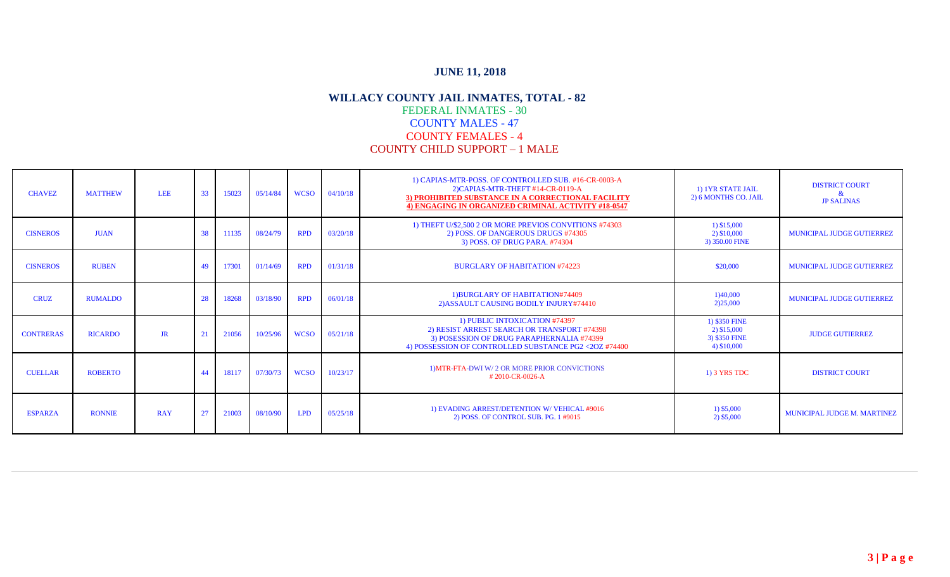| <b>CHAVEZ</b>    | <b>MATTHEW</b> | <b>LEE</b> | 33 | 15023 | 05/14/84 | <b>WCSO</b> | 04/10/18 | 1) CAPIAS-MTR-POSS. OF CONTROLLED SUB. #16-CR-0003-A<br>2) CAPIAS-MTR-THEFT #14-CR-0119-A<br>3) PROHIBITED SUBSTANCE IN A CORRECTIONAL FACILITY<br>4) ENGAGING IN ORGANIZED CRIMINAL ACTIVITY #18-0547 | 1) 1YR STATE JAIL<br>2) 6 MONTHS CO. JAIL                    | <b>DISTRICT COURT</b><br>&<br><b>JP SALINAS</b> |
|------------------|----------------|------------|----|-------|----------|-------------|----------|--------------------------------------------------------------------------------------------------------------------------------------------------------------------------------------------------------|--------------------------------------------------------------|-------------------------------------------------|
| <b>CISNEROS</b>  | <b>JUAN</b>    |            | 38 | 11135 | 08/24/79 | <b>RPD</b>  | 03/20/18 | 1) THEFT U/\$2,500 2 OR MORE PREVIOS CONVITIONS #74303<br>2) POSS. OF DANGEROUS DRUGS #74305<br>3) POSS. OF DRUG PARA. #74304                                                                          | 1) \$15,000<br>2) \$10,000<br>3) 350.00 FINE                 | <b>MUNICIPAL JUDGE GUTIERREZ</b>                |
| <b>CISNEROS</b>  | <b>RUBEN</b>   |            | 49 | 17301 | 01/14/69 | <b>RPD</b>  | 01/31/18 | <b>BURGLARY OF HABITATION #74223</b>                                                                                                                                                                   | \$20,000                                                     | <b>MUNICIPAL JUDGE GUTIERREZ</b>                |
| <b>CRUZ</b>      | <b>RUMALDO</b> |            | 28 | 18268 | 03/18/90 | <b>RPD</b>  | 06/01/18 | 1) BURGLARY OF HABITATION#74409<br>2) ASSAULT CAUSING BODILY INJURY#74410                                                                                                                              | 1)40,000<br>2)25,000                                         | <b>MUNICIPAL JUDGE GUTIERREZ</b>                |
| <b>CONTRERAS</b> | <b>RICARDO</b> | JR         | 21 | 21056 | 10/25/96 | <b>WCSO</b> | 05/21/18 | 1) PUBLIC INTOXICATION #74397<br>2) RESIST ARREST SEARCH OR TRANSPORT #74398<br>3) POSESSION OF DRUG PARAPHERNALIA #74399<br>4) POSSESSION OF CONTROLLED SUBSTANCE PG2 <20Z #74400                     | 1) \$350 FINE<br>2) \$15,000<br>3) \$350 FINE<br>4) \$10,000 | <b>JUDGE GUTIERREZ</b>                          |
| <b>CUELLAR</b>   | <b>ROBERTO</b> |            | 44 | 18117 | 07/30/73 | <b>WCSO</b> | 10/23/17 | 1) MTR-FTA-DWI W/2 OR MORE PRIOR CONVICTIONS<br>#2010-CR-0026-A                                                                                                                                        | 1) 3 YRS TDC                                                 | <b>DISTRICT COURT</b>                           |
| <b>ESPARZA</b>   | <b>RONNIE</b>  | <b>RAY</b> | 27 | 21003 | 08/10/90 | <b>LPD</b>  | 05/25/18 | 1) EVADING ARREST/DETENTION W/ VEHICAL #9016<br>2) POSS. OF CONTROL SUB. PG. 1 #9015                                                                                                                   | 1) \$5,000<br>2) \$5,000                                     | <b>MUNICIPAL JUDGE M. MARTINEZ</b>              |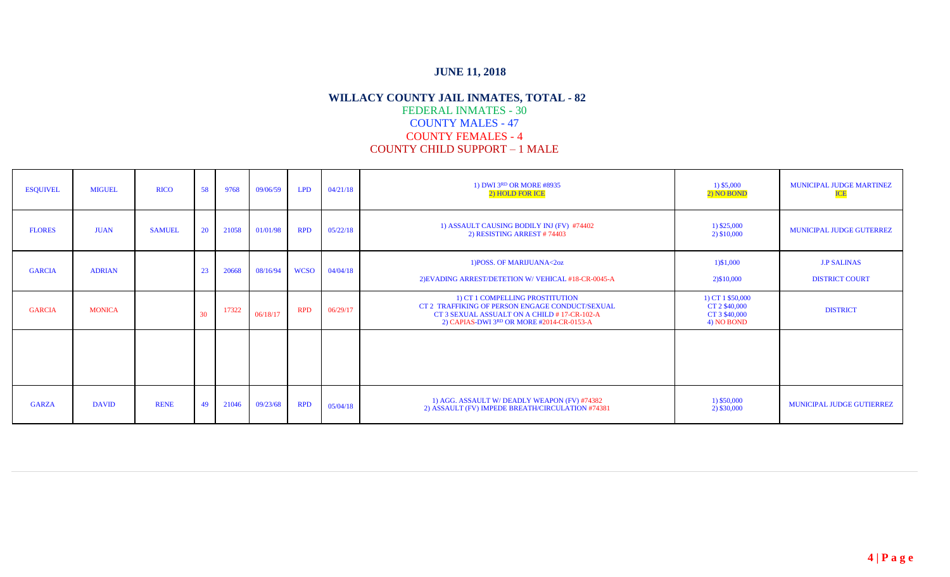| <b>ESQUIVEL</b> | <b>MIGUEL</b> | <b>RICO</b>   | 58           | 9768  | 09/06/59 | <b>LPD</b>  | 04/21/18 | 1) DWI 3RD OR MORE #8935<br>2) HOLD FOR ICE                                                                                                                                    | 1) \$5,000<br>2) NO BOND                                         | MUNICIPAL JUDGE MARTINEZ<br><b>ICE</b>      |
|-----------------|---------------|---------------|--------------|-------|----------|-------------|----------|--------------------------------------------------------------------------------------------------------------------------------------------------------------------------------|------------------------------------------------------------------|---------------------------------------------|
| <b>FLORES</b>   | <b>JUAN</b>   | <b>SAMUEL</b> | 20           | 21058 | 01/01/98 | <b>RPD</b>  | 05/22/18 | 1) ASSAULT CAUSING BODILY INJ (FV) #74402<br>2) RESISTING ARREST #74403                                                                                                        | $1)$ \$25,000<br>2) \$10,000                                     | <b>MUNICIPAL JUDGE GUTERREZ</b>             |
| <b>GARCIA</b>   | <b>ADRIAN</b> |               | 23           | 20668 | 08/16/94 | <b>WCSO</b> | 04/04/18 | 1) POSS. OF MARIJUANA<2oz<br>2) EVADING ARREST/DETETION W/ VEHICAL #18-CR-0045-A                                                                                               | 1)\$1,000<br>2) \$10,000                                         | <b>J.P SALINAS</b><br><b>DISTRICT COURT</b> |
| <b>GARCIA</b>   | <b>MONICA</b> |               | $30^{\circ}$ | 17322 | 06/18/17 | <b>RPD</b>  | 06/29/17 | 1) CT 1 COMPELLING PROSTITUTION<br>CT 2 TRAFFIKING OF PERSON ENGAGE CONDUCT/SEXUAL<br>CT 3 SEXUAL ASSUALT ON A CHILD #17-CR-102-A<br>2) CAPIAS-DWI 3RD OR MORE #2014-CR-0153-A | 1) CT 1 \$50,000<br>CT 2 \$40,000<br>CT 3 \$40,000<br>4) NO BOND | <b>DISTRICT</b>                             |
|                 |               |               |              |       |          |             |          |                                                                                                                                                                                |                                                                  |                                             |
| <b>GARZA</b>    | <b>DAVID</b>  | <b>RENE</b>   | 49           | 21046 | 09/23/68 | <b>RPD</b>  | 05/04/18 | 1) AGG. ASSAULT W/ DEADLY WEAPON (FV) #74382<br>2) ASSAULT (FV) IMPEDE BREATH/CIRCULATION #74381                                                                               | 1) \$50,000<br>2) \$30,000                                       | MUNICIPAL JUDGE GUTIERREZ                   |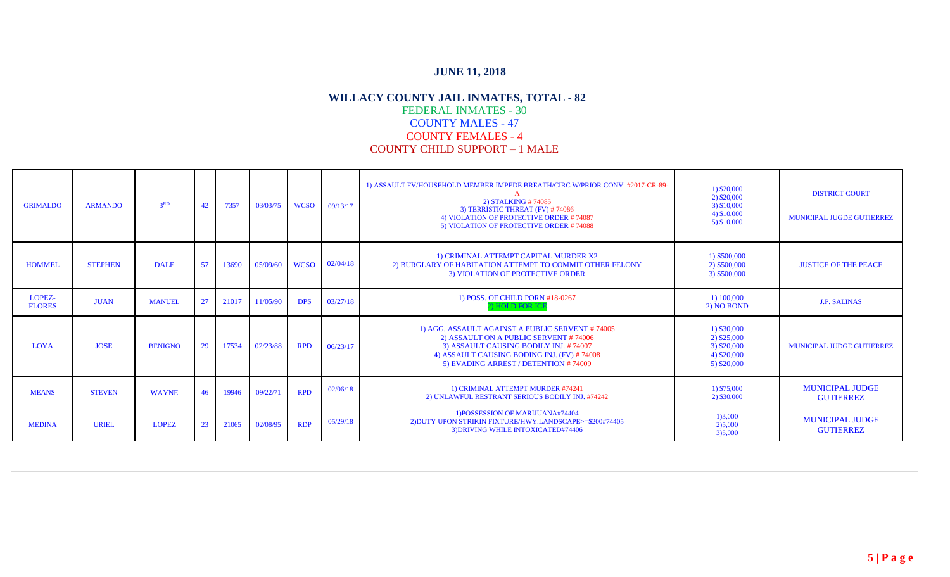| <b>GRIMALDO</b>         | <b>ARMANDO</b> | 3 <sup>RD</sup> | 42 | 7357  | 03/03/75 | <b>WCSO</b> | 09/13/17 | 1) ASSAULT FV/HOUSEHOLD MEMBER IMPEDE BREATH/CIRC W/PRIOR CONV. #2017-CR-89-<br>2) STALKING #74085<br>3) TERRISTIC THREAT (FV) #74086<br>4) VIOLATION OF PROTECTIVE ORDER #74087<br>5) VIOLATION OF PROTECTIVE ORDER #74088 | $1)$ \$20,000<br>2) \$20,000<br>3) \$10,000<br>4) \$10,000<br>$5)$ \$10,000   | <b>DISTRICT COURT</b><br><b>MUNICIPAL JUGDE GUTIERREZ</b> |
|-------------------------|----------------|-----------------|----|-------|----------|-------------|----------|-----------------------------------------------------------------------------------------------------------------------------------------------------------------------------------------------------------------------------|-------------------------------------------------------------------------------|-----------------------------------------------------------|
| <b>HOMMEL</b>           | <b>STEPHEN</b> | <b>DALE</b>     | 57 | 13690 | 05/09/60 | <b>WCSO</b> | 02/04/18 | 1) CRIMINAL ATTEMPT CAPITAL MURDER X2<br>2) BURGLARY OF HABITATION ATTEMPT TO COMMIT OTHER FELONY<br>3) VIOLATION OF PROTECTIVE ORDER                                                                                       | 1) \$500,000<br>2) \$500,000<br>3) \$500,000                                  | <b>JUSTICE OF THE PEACE</b>                               |
| LOPEZ-<br><b>FLORES</b> | <b>JUAN</b>    | <b>MANUEL</b>   | 27 | 21017 | 11/05/90 | <b>DPS</b>  | 03/27/18 | 1) POSS. OF CHILD PORN #18-0267<br>2) HOLD FOR ICE                                                                                                                                                                          | 1) 100,000<br>2) NO BOND                                                      | <b>J.P. SALINAS</b>                                       |
| <b>LOYA</b>             | <b>JOSE</b>    | <b>BENIGNO</b>  | 29 | 17534 | 02/23/88 | <b>RPD</b>  | 06/23/17 | 1) AGG. ASSAULT AGAINST A PUBLIC SERVENT #74005<br>2) ASSAULT ON A PUBLIC SERVENT #74006<br>3) ASSAULT CAUSING BODILY INJ. #74007<br>4) ASSAULT CAUSING BODING INJ. (FV) #74008<br>5) EVADING ARREST / DETENTION #74009     | $1)$ \$30,000<br>2) \$25,000<br>$3)$ \$20,000<br>4) \$20,000<br>$5)$ \$20,000 | <b>MUNICIPAL JUDGE GUTIERREZ</b>                          |
| <b>MEANS</b>            | <b>STEVEN</b>  | <b>WAYNE</b>    | 46 | 19946 | 09/22/71 | <b>RPD</b>  | 02/06/18 | 1) CRIMINAL ATTEMPT MURDER #74241<br>2) UNLAWFUL RESTRANT SERIOUS BODILY INJ. #74242                                                                                                                                        | 1) \$75,000<br>2) \$30,000                                                    | <b>MUNICIPAL JUDGE</b><br><b>GUTIERREZ</b>                |
| <b>MEDINA</b>           | URIEL          | <b>LOPEZ</b>    | 23 | 21065 | 02/08/95 | <b>RDP</b>  | 05/29/18 | 1) POSSESSION OF MARIJUANA#74404<br>2) DUTY UPON STRIKIN FIXTURE/HWY.LANDSCAPE>=\$200#74405<br>3) DRIVING WHILE INTOXICATED#74406                                                                                           | 1)3,000<br>2)5,000<br>3)5,000                                                 | <b>MUNICIPAL JUDGE</b><br><b>GUTIERREZ</b>                |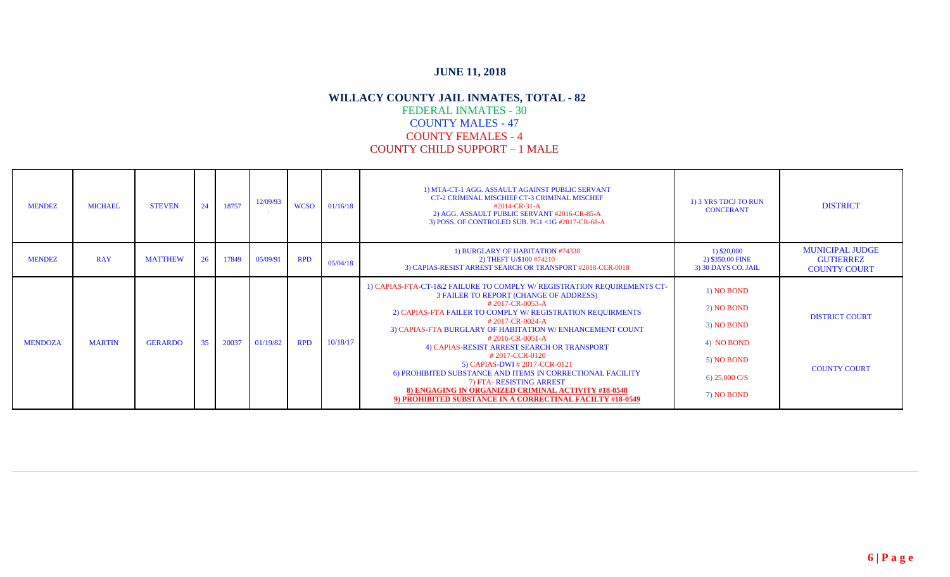| <b>MENDEZ</b>  | <b>MICHAEL</b> | <b>STEVEN</b>  | 24 | 18757 | 12/09/93 | <b>WCSO</b> | 01/16/18 | 1) MTA-CT-1 AGG. ASSAULT AGAINST PUBLIC SERVANT<br>CT-2 CRIMINAL MISCHIEF CT-3 CRIMINAL MISCHEF<br>#2014-CR-31-A<br>2) AGG. ASSAULT PUBLIC SERVANT #2016-CR-85-A<br>3) POSS. OF CONTROLED SUB. PG1 <1G #2017-CR-68-A                                                                                                                                                                                                                                                                                                                                                                                                    | 1) 3 YRS TDCJ TO RUN<br><b>CONCERANT</b>                                                                    | <b>DISTRICT</b>                                                   |
|----------------|----------------|----------------|----|-------|----------|-------------|----------|-------------------------------------------------------------------------------------------------------------------------------------------------------------------------------------------------------------------------------------------------------------------------------------------------------------------------------------------------------------------------------------------------------------------------------------------------------------------------------------------------------------------------------------------------------------------------------------------------------------------------|-------------------------------------------------------------------------------------------------------------|-------------------------------------------------------------------|
| <b>MENDEZ</b>  | <b>RAY</b>     | <b>MATTHEW</b> | 26 | 17849 | 05/09/91 | <b>RPD</b>  | 05/04/18 | 1) BURGLARY OF HABITATION #74338<br>2) THEFT U/\$100 #74210<br>3) CAPIAS-RESIST ARREST SEARCH OR TRANSPORT #2018-CCR-0018                                                                                                                                                                                                                                                                                                                                                                                                                                                                                               | 1) \$20,000<br>2) \$350.00 FINE<br>3) 30 DAYS CO. JAIL                                                      | <b>MUNICIPAL JUDGE</b><br><b>GUTIERREZ</b><br><b>COUNTY COURT</b> |
| <b>MENDOZA</b> | <b>MARTIN</b>  | <b>GERARDO</b> | 35 | 20037 | 01/19/82 | <b>RPD</b>  | 10/18/17 | 1) CAPIAS-FTA-CT-1&2 FAILURE TO COMPLY W/ REGISTRATION REQUIREMENTS CT-<br>3 FAILER TO REPORT (CHANGE OF ADDRESS)<br>#2017-CR-0053-A<br>2) CAPIAS-FTA FAILER TO COMPLY W/ REGISTRATION REQUIRMENTS<br>#2017-CR-0024-A<br>3) CAPIAS-FTA BURGLARY OF HABITATION W/ ENHANCEMENT COUNT<br>$#2016$ -CR-0051-A<br>4) CAPIAS-RESIST ARREST SEARCH OR TRANSPORT<br>#2017-CCR-0120<br>5) CAPIAS-DWI # 2017-CCR-0121<br>6) PROHIBITED SUBSTANCE AND ITEMS IN CORRECTIONAL FACILITY<br>7) FTA-RESISTING ARREST<br>8) ENGAGING IN ORGANIZED CRIMINAL ACTIVITY #18-0548<br>9) PROHIBITED SUBSTANCE IN A CORRECTINAL FACILTY #18-0549 | 1) NO BOND<br>2) NO BOND<br>3) NO BOND<br>4) NO BOND<br>5) NO BOND<br>6) $25,000 \text{ C/S}$<br>7) NO BOND | <b>DISTRICT COURT</b><br><b>COUNTY COURT</b>                      |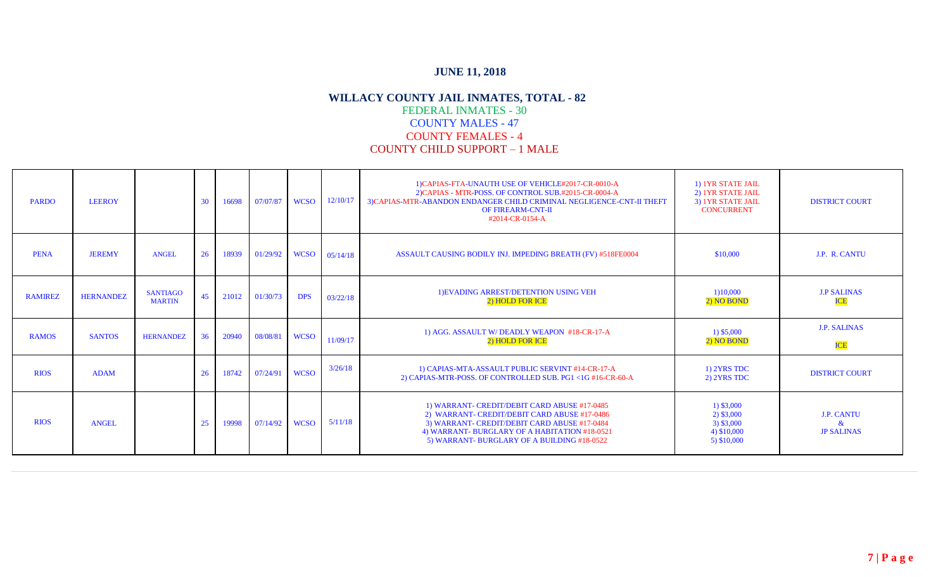| <b>PARDO</b>   | <b>LEEROY</b>    |                                  | 30 | 16698 | 07/07/87 | <b>WCSO</b> | 12/10/17 | 1) CAPIAS-FTA-UNAUTH USE OF VEHICLE#2017-CR-0010-A<br>2) CAPIAS - MTR-POSS. OF CONTROL SUB.#2015-CR-0004-A<br>3) CAPIAS-MTR-ABANDON ENDANGER CHILD CRIMINAL NEGLIGENCE-CNT-II THEFT<br><b>OF FIREARM-CNT-II</b><br>#2014-CR-0154-A           | 1) 1YR STATE JAIL<br>2) IYR STATE JAIL<br>3) 1YR STATE JAIL<br><b>CONCURRENT</b> | <b>DISTRICT COURT</b>                          |
|----------------|------------------|----------------------------------|----|-------|----------|-------------|----------|----------------------------------------------------------------------------------------------------------------------------------------------------------------------------------------------------------------------------------------------|----------------------------------------------------------------------------------|------------------------------------------------|
| <b>PENA</b>    | <b>JEREMY</b>    | <b>ANGEL</b>                     | 26 | 18939 | 01/29/92 | <b>WCSO</b> | 05/14/18 | ASSAULT CAUSING BODILY INJ. IMPEDING BREATH (FV) #518FE0004                                                                                                                                                                                  | \$10,000                                                                         | J.P. R. CANTU                                  |
| <b>RAMIREZ</b> | <b>HERNANDEZ</b> | <b>SANTIAGO</b><br><b>MARTIN</b> | 45 | 21012 | 01/30/73 | <b>DPS</b>  | 03/22/18 | 1) EVADING ARREST/DETENTION USING VEH<br>2) HOLD FOR ICE                                                                                                                                                                                     | 1)10,000<br>2) NO BOND                                                           | <b>J.P SALINAS</b><br><b>ICE</b>               |
| <b>RAMOS</b>   | <b>SANTOS</b>    | <b>HERNANDEZ</b>                 | 36 | 20940 | 08/08/81 | <b>WCSO</b> | 11/09/17 | 1) AGG. ASSAULT W/DEADLY WEAPON #18-CR-17-A<br>2) HOLD FOR ICE                                                                                                                                                                               | 1) \$5,000<br>2) NO BOND                                                         | <b>J.P. SALINAS</b><br><b>ICE</b>              |
| <b>RIOS</b>    | <b>ADAM</b>      |                                  | 26 | 18742 | 07/24/91 | <b>WCSO</b> | 3/26/18  | 1) CAPIAS-MTA-ASSAULT PUBLIC SERVINT #14-CR-17-A<br>2) CAPIAS-MTR-POSS. OF CONTROLLED SUB. PG1 <1G #16-CR-60-A                                                                                                                               | 1) 2YRS TDC<br>2) 2YRS TDC                                                       | <b>DISTRICT COURT</b>                          |
| <b>RIOS</b>    | ANGEL            |                                  | 25 | 19998 | 07/14/92 | <b>WCSO</b> | 5/11/18  | 1) WARRANT- CREDIT/DEBIT CARD ABUSE #17-0485<br>2) WARRANT- CREDIT/DEBIT CARD ABUSE #17-0486<br>3) WARRANT- CREDIT/DEBIT CARD ABUSE #17-0484<br>4) WARRANT- BURGLARY OF A HABITATION #18-0521<br>5) WARRANT- BURGLARY OF A BUILDING #18-0522 | $1)$ \$3,000<br>$2)$ \$3,000<br>$3)$ \$3,000<br>4) \$10,000<br>5) \$10,000       | <b>J.P. CANTU</b><br>$\&$<br><b>JP SALINAS</b> |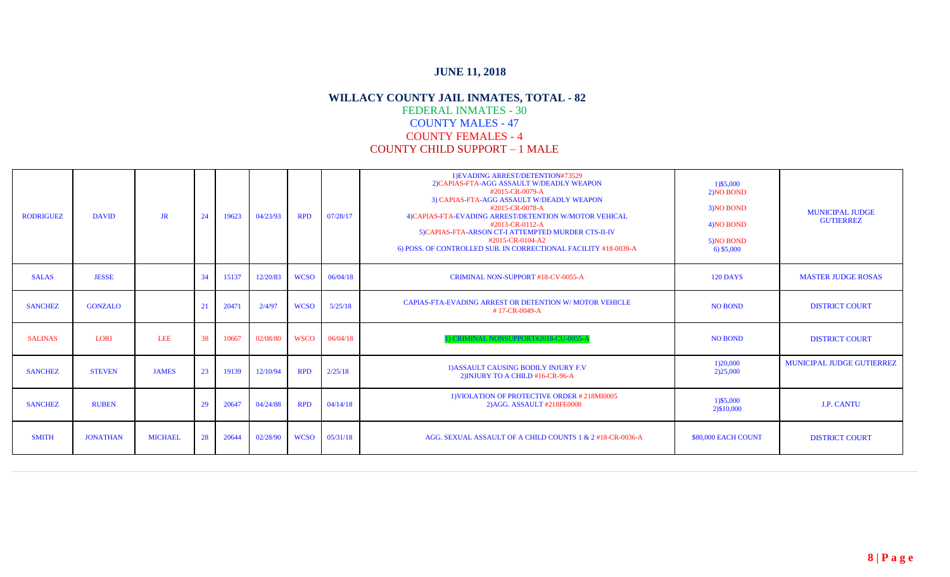| <b>RODRIGUEZ</b> | <b>DAVID</b>    | JR             | 24 | 19623 | 04/23/93 | <b>RPD</b>  | 07/28/17 | 1) EVADING ARREST/DETENTION#73529<br>2) CAPIAS-FTA-AGG ASSAULT W/DEADLY WEAPON<br>#2015-CR-0079-A<br>3) CAPIAS-FTA-AGG ASSAULT W/DEADLY WEAPON<br>#2015-CR-0078-A<br>4) CAPIAS-FTA-EVADING ARREST/DETENTION W/MOTOR VEHICAL<br>#2013-CR-0112-A<br>5) CAPIAS-FTA-ARSON CT-I ATTEMPTED MURDER CTS-II-IV<br>#2015-CR-0104-A2<br>6) POSS. OF CONTROLLED SUB. IN CORRECTIONAL FACILITY #18-0039-A | 1) \$5,000<br>2) NO BOND<br>3) NO BOND<br>4) NO BOND<br>5) NO BOND<br>$6)$ \$5,000 | <b>MUNICIPAL JUDGE</b><br><b>GUTIERREZ</b> |
|------------------|-----------------|----------------|----|-------|----------|-------------|----------|----------------------------------------------------------------------------------------------------------------------------------------------------------------------------------------------------------------------------------------------------------------------------------------------------------------------------------------------------------------------------------------------|------------------------------------------------------------------------------------|--------------------------------------------|
| <b>SALAS</b>     | <b>JESSE</b>    |                | 34 | 15137 | 12/20/83 | <b>WCSO</b> | 06/04/18 | <b>CRIMINAL NON-SUPPORT #18-CV-0055-A</b>                                                                                                                                                                                                                                                                                                                                                    | <b>120 DAYS</b>                                                                    | <b>MASTER JUDGE ROSAS</b>                  |
| <b>SANCHEZ</b>   | <b>GONZALO</b>  |                | 21 | 20471 | 2/4/97   | <b>WCSO</b> | 5/25/18  | CAPIAS-FTA-EVADING ARREST OR DETENTION W/ MOTOR VEHICLE<br>#17-CR-0049-A                                                                                                                                                                                                                                                                                                                     | <b>NO BOND</b>                                                                     | <b>DISTRICT COURT</b>                      |
| <b>SALINAS</b>   | <b>LORI</b>     | <b>LEE</b>     | 38 | 10667 | 02/08/80 | <b>WSCO</b> | 06/04/18 | CRIMINAL NONSUPPORT#2018-CU-0055-A                                                                                                                                                                                                                                                                                                                                                           | <b>NO BOND</b>                                                                     | <b>DISTRICT COURT</b>                      |
| <b>SANCHEZ</b>   | <b>STEVEN</b>   | <b>JAMES</b>   | 23 | 19139 | 12/10/94 | <b>RPD</b>  | 2/25/18  | 1) ASSAULT CAUSING BODILY INJURY F.V<br>2) INJURY TO A CHILD #16-CR-96-A                                                                                                                                                                                                                                                                                                                     | 1)20,000<br>2)25,000                                                               | <b>MUNICIPAL JUDGE GUTIERREZ</b>           |
| <b>SANCHEZ</b>   | <b>RUBEN</b>    |                | 29 | 20647 | 04/24/88 | <b>RPD</b>  | 04/14/18 | 1) VIOLATION OF PROTECTIVE ORDER #218MI0005<br>2) AGG. ASSAULT #218FE0008                                                                                                                                                                                                                                                                                                                    | 1)\$5,000<br>2) \$10,000                                                           | <b>J.P. CANTU</b>                          |
| <b>SMITH</b>     | <b>JONATHAN</b> | <b>MICHAEL</b> | 28 | 20644 | 02/28/90 | <b>WCSO</b> | 05/31/18 | AGG. SEXUAL ASSAULT OF A CHILD COUNTS 1 & 2 #18-CR-0036-A                                                                                                                                                                                                                                                                                                                                    | \$80,000 EACH COUNT                                                                | <b>DISTRICT COURT</b>                      |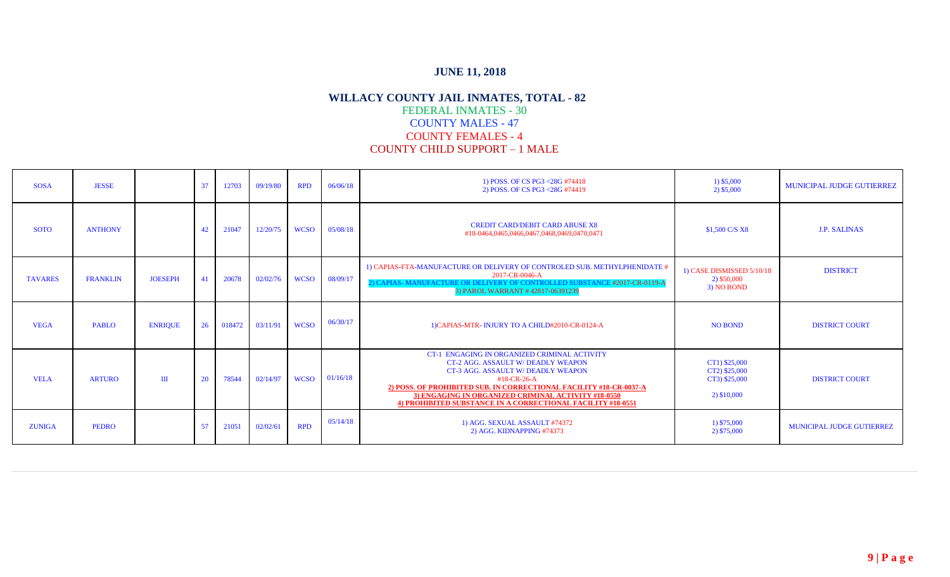| <b>SOSA</b>    | <b>JESSE</b>    |                | 37 | 12703  | 09/19/80 | <b>RPD</b>  | 06/06/18      | 1) POSS. OF CS PG3 <28G #74418<br>2) POSS. OF CS PG3 <28G #74419                                                                                                                                                                                                                                                                                | 1) \$5,000<br>2) \$5,000                                       | MUNICIPAL JUDGE GUTIERREZ        |
|----------------|-----------------|----------------|----|--------|----------|-------------|---------------|-------------------------------------------------------------------------------------------------------------------------------------------------------------------------------------------------------------------------------------------------------------------------------------------------------------------------------------------------|----------------------------------------------------------------|----------------------------------|
| <b>SOTO</b>    | <b>ANTHONY</b>  |                | 42 | 21047  | 12/20/75 | <b>WCSO</b> | 05/08/18      | <b>CREDIT CARD/DEBIT CARD ABUSE X8</b><br>#18-0464,0465,0466,0467,0468,0469,0470,0471                                                                                                                                                                                                                                                           | \$1,500 C/S X8                                                 | <b>J.P. SALINAS</b>              |
| <b>TAVARES</b> | <b>FRANKLIN</b> | <b>JOESEPH</b> | 41 | 20678  | 02/02/76 | <b>WCSO</b> | 08/09/17      | 1) CAPIAS-FTA-MANUFACTURE OR DELIVERY OF CONTROLED SUB. METHYLPHENIDATE #<br>2017-CR-0046-A<br>2) CAPIAS-MANUFACTURE OR DELIVERY OF CONTROLLED SUBSTANCE #2017-CR-0119-A<br>3) PAROL WARRANT #42817-06391239                                                                                                                                    | 1) CASE DISMISSED 5/10/18<br>2) \$50,000<br>3) NO BOND         | <b>DISTRICT</b>                  |
| <b>VEGA</b>    | <b>PABLO</b>    | <b>ENRIQUE</b> | 26 | 018472 | 03/11/91 | <b>WCSO</b> | 06/30/17      | 1) CAPIAS-MTR- INJURY TO A CHILD#2010-CR-0124-A                                                                                                                                                                                                                                                                                                 | <b>NO BOND</b>                                                 | <b>DISTRICT COURT</b>            |
| <b>VELA</b>    | <b>ARTURO</b>   | $\mathbf{H}$   | 20 | 78544  | 02/14/97 |             | WCSO 01/16/18 | <b>CT-1 ENGAGING IN ORGANIZED CRIMINAL ACTIVITY</b><br><b>CT-2 AGG. ASSAULT W/DEADLY WEAPON</b><br>CT-3 AGG. ASSAULT W/DEADLY WEAPON<br>#18-CR-26-A<br>2) POSS. OF PROHIBITED SUB. IN CORRECTIONAL FACILITY #18-CR-0037-A<br>3) ENGAGING IN ORGANIZED CRIMINAL ACTIVITY #18-0550<br>4) PROHIBITED SUBSTANCE IN A CORRECTIONAL FACILITY #18-0551 | CT1) \$25,000<br>CT2) \$25,000<br>CT3) \$25,000<br>2) \$10,000 | <b>DISTRICT COURT</b>            |
| <b>ZUNIGA</b>  | <b>PEDRO</b>    |                | 57 | 21051  | 02/02/61 | <b>RPD</b>  | 05/14/18      | 1) AGG. SEXUAL ASSAULT #74372<br>2) AGG, KIDNAPPING #74373                                                                                                                                                                                                                                                                                      | 1) \$75,000<br>2) \$75,000                                     | <b>MUNICIPAL JUDGE GUTIERREZ</b> |